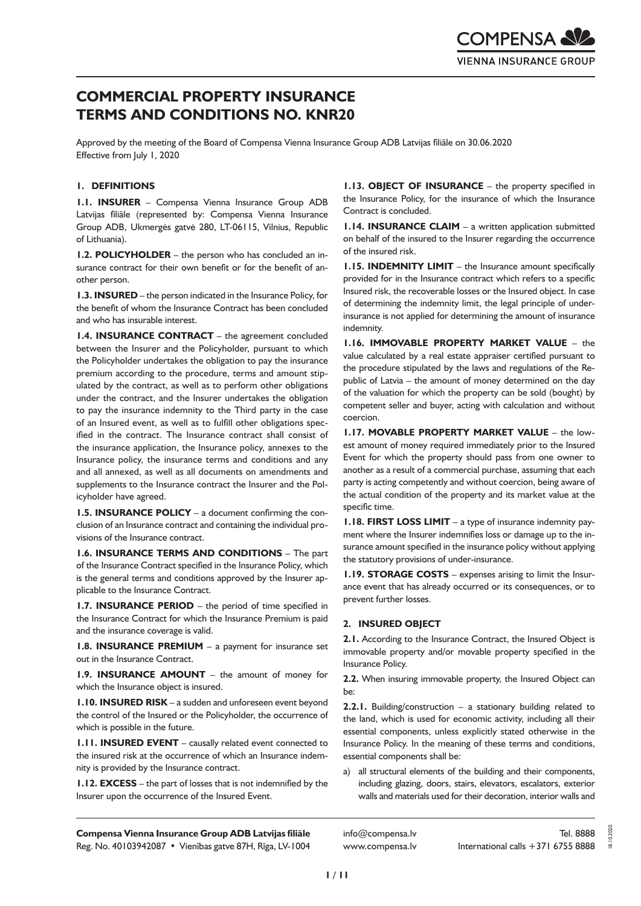# **COMMERCIAL PROPERTY INSURANCE TERMS AND CONDITIONS NO. KNR20**

Approved by the meeting of the Board of Compensa Vienna Insurance Group ADB Latvijas filiāle on 30.06.2020 Effective from July 1, 2020

# **1. DEFINITIONS**

**1.1. INSURER** – Compensa Vienna Insurance Group ADB Latvijas filiāle (represented by: Compensa Vienna Insurance Group ADB, Ukmergės gatvė 280, LT-06115, Vilnius, Republic of Lithuania).

**1.2. POLICYHOLDER** – the person who has concluded an insurance contract for their own benefit or for the benefit of another person.

**1.3. INSURED** – the person indicated in the Insurance Policy, for the benefit of whom the Insurance Contract has been concluded and who has insurable interest.

**1.4. INSURANCE CONTRACT** – the agreement concluded between the Insurer and the Policyholder, pursuant to which the Policyholder undertakes the obligation to pay the insurance premium according to the procedure, terms and amount stipulated by the contract, as well as to perform other obligations under the contract, and the Insurer undertakes the obligation to pay the insurance indemnity to the Third party in the case of an Insured event, as well as to fulfill other obligations specified in the contract. The Insurance contract shall consist of the insurance application, the Insurance policy, annexes to the Insurance policy, the insurance terms and conditions and any and all annexed, as well as all documents on amendments and supplements to the Insurance contract the Insurer and the Policyholder have agreed.

**1.5. INSURANCE POLICY** – a document confirming the conclusion of an Insurance contract and containing the individual provisions of the Insurance contract.

**1.6. INSURANCE TERMS AND CONDITIONS** – The part of the Insurance Contract specified in the Insurance Policy, which is the general terms and conditions approved by the Insurer applicable to the Insurance Contract.

**1.7. INSURANCE PERIOD** – the period of time specified in the Insurance Contract for which the Insurance Premium is paid and the insurance coverage is valid.

**1.8. INSURANCE PREMIUM** – a payment for insurance set out in the Insurance Contract.

**1.9. INSURANCE AMOUNT** – the amount of money for which the Insurance object is insured.

**1.10. INSURED RISK** – a sudden and unforeseen event beyond the control of the Insured or the Policyholder, the occurrence of which is possible in the future.

**1.11. INSURED EVENT** – causally related event connected to the insured risk at the occurrence of which an Insurance indemnity is provided by the Insurance contract.

**1.12. EXCESS** – the part of losses that is not indemnified by the Insurer upon the occurrence of the Insured Event.

**1.13. OBJECT OF INSURANCE** – the property specified in the Insurance Policy, for the insurance of which the Insurance Contract is concluded.

**1.14. INSURANCE CLAIM** – a written application submitted on behalf of the insured to the Insurer regarding the occurrence of the insured risk.

**1.15. INDEMNITY LIMIT** – the Insurance amount specifically provided for in the Insurance contract which refers to a specific Insured risk, the recoverable losses or the Insured object. In case of determining the indemnity limit, the legal principle of underinsurance is not applied for determining the amount of insurance indemnity.

**1.16. IMMOVABLE PROPERTY MARKET VALUE** – the value calculated by a real estate appraiser certified pursuant to the procedure stipulated by the laws and regulations of the Republic of Latvia – the amount of money determined on the day of the valuation for which the property can be sold (bought) by competent seller and buyer, acting with calculation and without coercion.

**1.17. MOVABLE PROPERTY MARKET VALUE** – the lowest amount of money required immediately prior to the Insured Event for which the property should pass from one owner to another as a result of a commercial purchase, assuming that each party is acting competently and without coercion, being aware of the actual condition of the property and its market value at the specific time.

**1.18. FIRST LOSS LIMIT** – a type of insurance indemnity payment where the Insurer indemnifies loss or damage up to the insurance amount specified in the insurance policy without applying the statutory provisions of under-insurance.

**1.19. STORAGE COSTS** – expenses arising to limit the Insurance event that has already occurred or its consequences, or to prevent further losses.

#### **2. INSURED OBJECT**

**2.1.** According to the Insurance Contract, the Insured Object is immovable property and/or movable property specified in the Insurance Policy.

**2.2.** When insuring immovable property, the Insured Object can be:

**2.2.1.** Building/construction – a stationary building related to the land, which is used for economic activity, including all their essential components, unless explicitly stated otherwise in the Insurance Policy. In the meaning of these terms and conditions, essential components shall be:

a) all structural elements of the building and their components, including glazing, doors, stairs, elevators, escalators, exterior walls and materials used for their decoration, interior walls and

**Compensa Vienna Insurance Group ADB Latvijas filiāle**  Reg. No. 40103942087 • Vienības gatve 87H, Rīga, LV-1004

info@compensa.lv www.compensa.lv 18.10.2020.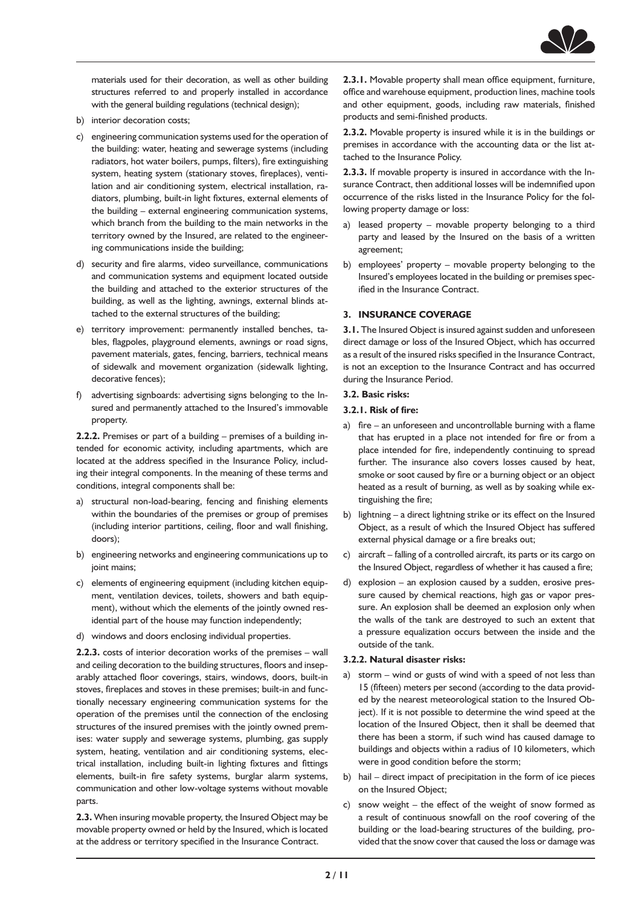

materials used for their decoration, as well as other building structures referred to and properly installed in accordance with the general building regulations (technical design);

- b) interior decoration costs;
- c) engineering communication systems used for the operation of the building: water, heating and sewerage systems (including radiators, hot water boilers, pumps, filters), fire extinguishing system, heating system (stationary stoves, fireplaces), ventilation and air conditioning system, electrical installation, radiators, plumbing, built-in light fixtures, external elements of the building – external engineering communication systems, which branch from the building to the main networks in the territory owned by the Insured, are related to the engineering communications inside the building;
- d) security and fire alarms, video surveillance, communications and communication systems and equipment located outside the building and attached to the exterior structures of the building, as well as the lighting, awnings, external blinds attached to the external structures of the building;
- e) territory improvement: permanently installed benches, tables, flagpoles, playground elements, awnings or road signs, pavement materials, gates, fencing, barriers, technical means of sidewalk and movement organization (sidewalk lighting, decorative fences);
- f) advertising signboards: advertising signs belonging to the Insured and permanently attached to the Insured's immovable property.

**2.2.2.** Premises or part of a building – premises of a building intended for economic activity, including apartments, which are located at the address specified in the Insurance Policy, including their integral components. In the meaning of these terms and conditions, integral components shall be:

- a) structural non-load-bearing, fencing and finishing elements within the boundaries of the premises or group of premises (including interior partitions, ceiling, floor and wall finishing, doors);
- b) engineering networks and engineering communications up to joint mains;
- c) elements of engineering equipment (including kitchen equipment, ventilation devices, toilets, showers and bath equipment), without which the elements of the jointly owned residential part of the house may function independently;
- d) windows and doors enclosing individual properties.

**2.2.3.** costs of interior decoration works of the premises – wall and ceiling decoration to the building structures, floors and inseparably attached floor coverings, stairs, windows, doors, built-in stoves, fireplaces and stoves in these premises; built-in and functionally necessary engineering communication systems for the operation of the premises until the connection of the enclosing structures of the insured premises with the jointly owned premises: water supply and sewerage systems, plumbing, gas supply system, heating, ventilation and air conditioning systems, electrical installation, including built-in lighting fixtures and fittings elements, built-in fire safety systems, burglar alarm systems, communication and other low-voltage systems without movable parts.

**2.3.** When insuring movable property, the Insured Object may be movable property owned or held by the Insured, which is located at the address or territory specified in the Insurance Contract.

**2.3.1.** Movable property shall mean office equipment, furniture, office and warehouse equipment, production lines, machine tools and other equipment, goods, including raw materials, finished products and semi-finished products.

**2.3.2.** Movable property is insured while it is in the buildings or premises in accordance with the accounting data or the list attached to the Insurance Policy.

**2.3.3.** If movable property is insured in accordance with the Insurance Contract, then additional losses will be indemnified upon occurrence of the risks listed in the Insurance Policy for the following property damage or loss:

- a) leased property movable property belonging to a third party and leased by the Insured on the basis of a written agreement;
- b) employees' property movable property belonging to the Insured's employees located in the building or premises specified in the Insurance Contract.

## **3. INSURANCE COVERAGE**

**3.1.** The Insured Object is insured against sudden and unforeseen direct damage or loss of the Insured Object, which has occurred as a result of the insured risks specified in the Insurance Contract, is not an exception to the Insurance Contract and has occurred during the Insurance Period.

#### **3.2. Basic risks:**

- **3.2.1. Risk of fire:**
- a) fire an unforeseen and uncontrollable burning with a flame that has erupted in a place not intended for fire or from a place intended for fire, independently continuing to spread further. The insurance also covers losses caused by heat, smoke or soot caused by fire or a burning object or an object heated as a result of burning, as well as by soaking while extinguishing the fire;
- b) lightning a direct lightning strike or its effect on the Insured Object, as a result of which the Insured Object has suffered external physical damage or a fire breaks out;
- c) aircraft falling of a controlled aircraft, its parts or its cargo on the Insured Object, regardless of whether it has caused a fire;
- d) explosion an explosion caused by a sudden, erosive pressure caused by chemical reactions, high gas or vapor pressure. An explosion shall be deemed an explosion only when the walls of the tank are destroyed to such an extent that a pressure equalization occurs between the inside and the outside of the tank.

#### **3.2.2. Natural disaster risks:**

- a) storm wind or gusts of wind with a speed of not less than 15 (fifteen) meters per second (according to the data provided by the nearest meteorological station to the Insured Object). If it is not possible to determine the wind speed at the location of the Insured Object, then it shall be deemed that there has been a storm, if such wind has caused damage to buildings and objects within a radius of 10 kilometers, which were in good condition before the storm;
- b) hail direct impact of precipitation in the form of ice pieces on the Insured Object;
- c) snow weight the effect of the weight of snow formed as a result of continuous snowfall on the roof covering of the building or the load-bearing structures of the building, provided that the snow cover that caused the loss or damage was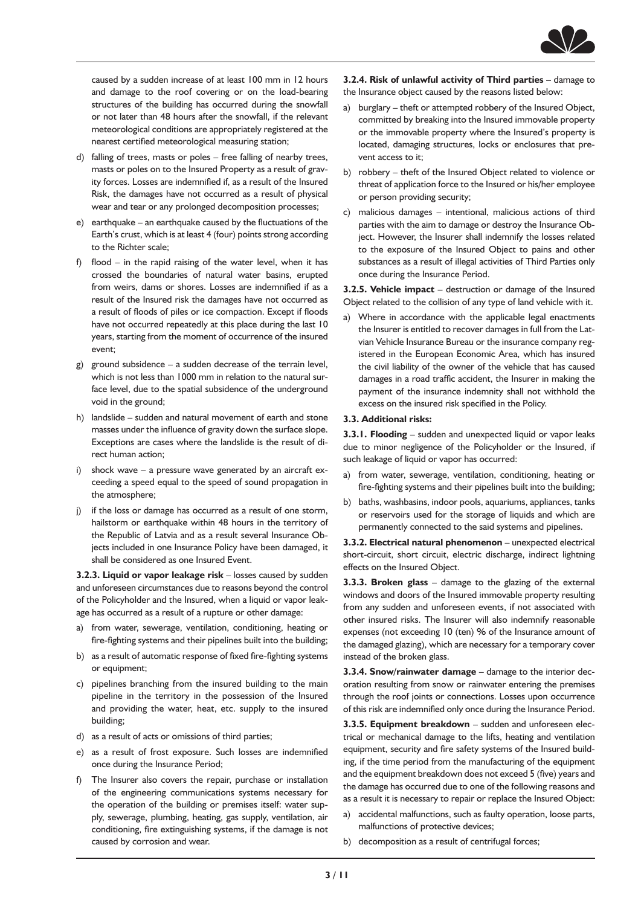

caused by a sudden increase of at least 100 mm in 12 hours and damage to the roof covering or on the load-bearing structures of the building has occurred during the snowfall or not later than 48 hours after the snowfall, if the relevant meteorological conditions are appropriately registered at the nearest certified meteorological measuring station;

- d) falling of trees, masts or poles free falling of nearby trees, masts or poles on to the Insured Property as a result of gravity forces. Losses are indemnified if, as a result of the Insured Risk, the damages have not occurred as a result of physical wear and tear or any prolonged decomposition processes;
- e) earthquake an earthquake caused by the fluctuations of the Earth's crust, which is at least 4 (four) points strong according to the Richter scale;
- f) flood in the rapid raising of the water level, when it has crossed the boundaries of natural water basins, erupted from weirs, dams or shores. Losses are indemnified if as a result of the Insured risk the damages have not occurred as a result of floods of piles or ice compaction. Except if floods have not occurred repeatedly at this place during the last 10 years, starting from the moment of occurrence of the insured event;
- g) ground subsidence a sudden decrease of the terrain level, which is not less than 1000 mm in relation to the natural surface level, due to the spatial subsidence of the underground void in the ground;
- h) landslide sudden and natural movement of earth and stone masses under the influence of gravity down the surface slope. Exceptions are cases where the landslide is the result of direct human action;
- i) shock wave a pressure wave generated by an aircraft exceeding a speed equal to the speed of sound propagation in the atmosphere;
- j) if the loss or damage has occurred as a result of one storm, hailstorm or earthquake within 48 hours in the territory of the Republic of Latvia and as a result several Insurance Objects included in one Insurance Policy have been damaged, it shall be considered as one Insured Event.

**3.2.3. Liquid or vapor leakage risk** – losses caused by sudden and unforeseen circumstances due to reasons beyond the control of the Policyholder and the Insured, when a liquid or vapor leakage has occurred as a result of a rupture or other damage:

- a) from water, sewerage, ventilation, conditioning, heating or fire-fighting systems and their pipelines built into the building;
- b) as a result of automatic response of fixed fire-fighting systems or equipment;
- c) pipelines branching from the insured building to the main pipeline in the territory in the possession of the Insured and providing the water, heat, etc. supply to the insured building;
- d) as a result of acts or omissions of third parties;
- e) as a result of frost exposure. Such losses are indemnified once during the Insurance Period;
- f) The Insurer also covers the repair, purchase or installation of the engineering communications systems necessary for the operation of the building or premises itself: water supply, sewerage, plumbing, heating, gas supply, ventilation, air conditioning, fire extinguishing systems, if the damage is not caused by corrosion and wear.

**3.2.4. Risk of unlawful activity of Third parties** – damage to the Insurance object caused by the reasons listed below:

- a) burglary theft or attempted robbery of the Insured Object, committed by breaking into the Insured immovable property or the immovable property where the Insured's property is located, damaging structures, locks or enclosures that prevent access to it;
- b) robbery theft of the Insured Object related to violence or threat of application force to the Insured or his/her employee or person providing security;
- c) malicious damages intentional, malicious actions of third parties with the aim to damage or destroy the Insurance Object. However, the Insurer shall indemnify the losses related to the exposure of the Insured Object to pains and other substances as a result of illegal activities of Third Parties only once during the Insurance Period.

**3.2.5. Vehicle impact** – destruction or damage of the Insured Object related to the collision of any type of land vehicle with it.

a) Where in accordance with the applicable legal enactments the Insurer is entitled to recover damages in full from the Latvian Vehicle Insurance Bureau or the insurance company registered in the European Economic Area, which has insured the civil liability of the owner of the vehicle that has caused damages in a road traffic accident, the Insurer in making the payment of the insurance indemnity shall not withhold the excess on the insured risk specified in the Policy.

#### **3.3. Additional risks:**

**3.3.1. Flooding** – sudden and unexpected liquid or vapor leaks due to minor negligence of the Policyholder or the Insured, if such leakage of liquid or vapor has occurred:

- a) from water, sewerage, ventilation, conditioning, heating or fire-fighting systems and their pipelines built into the building;
- b) baths, washbasins, indoor pools, aquariums, appliances, tanks or reservoirs used for the storage of liquids and which are permanently connected to the said systems and pipelines.

**3.3.2. Electrical natural phenomenon** – unexpected electrical short-circuit, short circuit, electric discharge, indirect lightning effects on the Insured Object.

**3.3.3. Broken glass** – damage to the glazing of the external windows and doors of the Insured immovable property resulting from any sudden and unforeseen events, if not associated with other insured risks. The Insurer will also indemnify reasonable expenses (not exceeding 10 (ten) % of the Insurance amount of the damaged glazing), which are necessary for a temporary cover instead of the broken glass.

**3.3.4. Snow/rainwater damage** – damage to the interior decoration resulting from snow or rainwater entering the premises through the roof joints or connections. Losses upon occurrence of this risk are indemnified only once during the Insurance Period.

**3.3.5. Equipment breakdown** – sudden and unforeseen electrical or mechanical damage to the lifts, heating and ventilation equipment, security and fire safety systems of the Insured building, if the time period from the manufacturing of the equipment and the equipment breakdown does not exceed 5 (five) years and the damage has occurred due to one of the following reasons and as a result it is necessary to repair or replace the Insured Object:

- a) accidental malfunctions, such as faulty operation, loose parts, malfunctions of protective devices;
- b) decomposition as a result of centrifugal forces;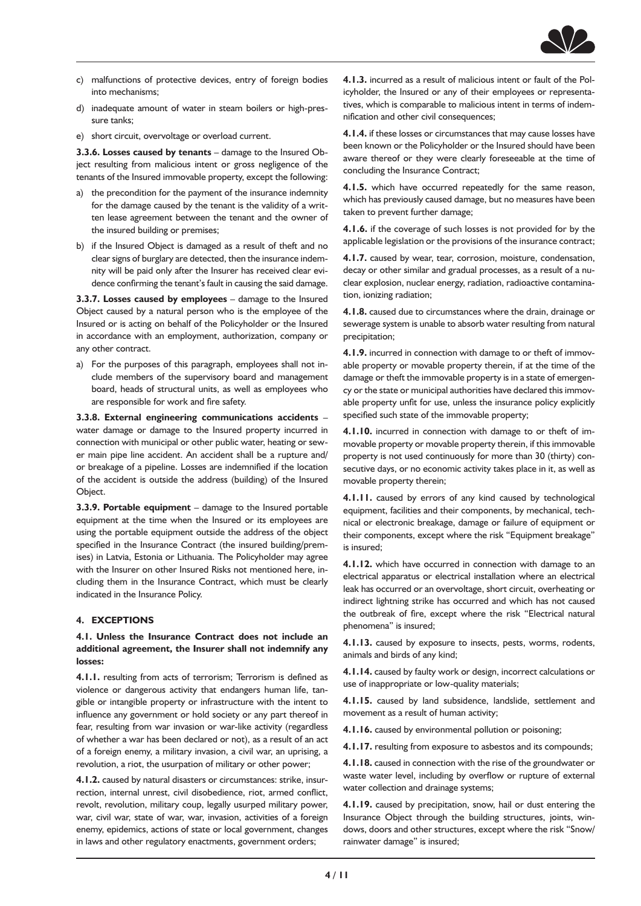

- c) malfunctions of protective devices, entry of foreign bodies into mechanisms;
- d) inadequate amount of water in steam boilers or high-pressure tanks;
- e) short circuit, overvoltage or overload current.

**3.3.6. Losses caused by tenants** – damage to the Insured Object resulting from malicious intent or gross negligence of the tenants of the Insured immovable property, except the following:

- a) the precondition for the payment of the insurance indemnity for the damage caused by the tenant is the validity of a written lease agreement between the tenant and the owner of the insured building or premises;
- b) if the Insured Object is damaged as a result of theft and no clear signs of burglary are detected, then the insurance indemnity will be paid only after the Insurer has received clear evidence confirming the tenant's fault in causing the said damage.

**3.3.7. Losses caused by employees** – damage to the Insured Object caused by a natural person who is the employee of the Insured or is acting on behalf of the Policyholder or the Insured in accordance with an employment, authorization, company or any other contract.

a) For the purposes of this paragraph, employees shall not include members of the supervisory board and management board, heads of structural units, as well as employees who are responsible for work and fire safety.

**3.3.8. External engineering communications accidents** – water damage or damage to the Insured property incurred in connection with municipal or other public water, heating or sewer main pipe line accident. An accident shall be a rupture and/ or breakage of a pipeline. Losses are indemnified if the location of the accident is outside the address (building) of the Insured Object.

**3.3.9. Portable equipment** – damage to the Insured portable equipment at the time when the Insured or its employees are using the portable equipment outside the address of the object specified in the Insurance Contract (the insured building/premises) in Latvia, Estonia or Lithuania. The Policyholder may agree with the Insurer on other Insured Risks not mentioned here, including them in the Insurance Contract, which must be clearly indicated in the Insurance Policy.

## **4. EXCEPTIONS**

## **4.1. Unless the Insurance Contract does not include an additional agreement, the Insurer shall not indemnify any losses:**

**4.1.1.** resulting from acts of terrorism; Terrorism is defined as violence or dangerous activity that endangers human life, tangible or intangible property or infrastructure with the intent to influence any government or hold society or any part thereof in fear, resulting from war invasion or war-like activity (regardless of whether a war has been declared or not), as a result of an act of a foreign enemy, a military invasion, a civil war, an uprising, a revolution, a riot, the usurpation of military or other power;

**4.1.2.** caused by natural disasters or circumstances: strike, insurrection, internal unrest, civil disobedience, riot, armed conflict, revolt, revolution, military coup, legally usurped military power, war, civil war, state of war, war, invasion, activities of a foreign enemy, epidemics, actions of state or local government, changes in laws and other regulatory enactments, government orders;

**4.1.3.** incurred as a result of malicious intent or fault of the Policyholder, the Insured or any of their employees or representatives, which is comparable to malicious intent in terms of indemnification and other civil consequences;

**4.1.4.** if these losses or circumstances that may cause losses have been known or the Policyholder or the Insured should have been aware thereof or they were clearly foreseeable at the time of concluding the Insurance Contract;

**4.1.5.** which have occurred repeatedly for the same reason, which has previously caused damage, but no measures have been taken to prevent further damage;

**4.1.6.** if the coverage of such losses is not provided for by the applicable legislation or the provisions of the insurance contract;

**4.1.7.** caused by wear, tear, corrosion, moisture, condensation, decay or other similar and gradual processes, as a result of a nuclear explosion, nuclear energy, radiation, radioactive contamination, ionizing radiation;

**4.1.8.** caused due to circumstances where the drain, drainage or sewerage system is unable to absorb water resulting from natural precipitation;

**4.1.9.** incurred in connection with damage to or theft of immovable property or movable property therein, if at the time of the damage or theft the immovable property is in a state of emergency or the state or municipal authorities have declared this immovable property unfit for use, unless the insurance policy explicitly specified such state of the immovable property;

**4.1.10.** incurred in connection with damage to or theft of immovable property or movable property therein, if this immovable property is not used continuously for more than 30 (thirty) consecutive days, or no economic activity takes place in it, as well as movable property therein;

**4.1.11.** caused by errors of any kind caused by technological equipment, facilities and their components, by mechanical, technical or electronic breakage, damage or failure of equipment or their components, except where the risk "Equipment breakage" is insured;

**4.1.12.** which have occurred in connection with damage to an electrical apparatus or electrical installation where an electrical leak has occurred or an overvoltage, short circuit, overheating or indirect lightning strike has occurred and which has not caused the outbreak of fire, except where the risk "Electrical natural phenomena" is insured;

**4.1.13.** caused by exposure to insects, pests, worms, rodents, animals and birds of any kind;

**4.1.14.** caused by faulty work or design, incorrect calculations or use of inappropriate or low-quality materials;

**4.1.15.** caused by land subsidence, landslide, settlement and movement as a result of human activity;

**4.1.16.** caused by environmental pollution or poisoning;

**4.1.17.** resulting from exposure to asbestos and its compounds;

**4.1.18.** caused in connection with the rise of the groundwater or waste water level, including by overflow or rupture of external water collection and drainage systems;

**4.1.19.** caused by precipitation, snow, hail or dust entering the Insurance Object through the building structures, joints, windows, doors and other structures, except where the risk "Snow/ rainwater damage" is insured;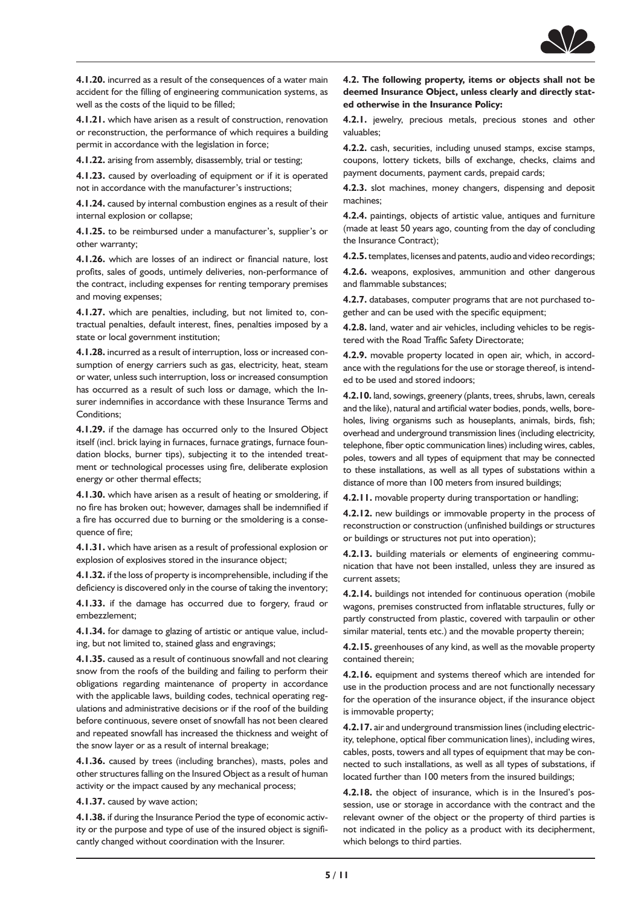

**4.1.20.** incurred as a result of the consequences of a water main accident for the filling of engineering communication systems, as well as the costs of the liquid to be filled;

**4.1.21.** which have arisen as a result of construction, renovation or reconstruction, the performance of which requires a building permit in accordance with the legislation in force;

**4.1.22.** arising from assembly, disassembly, trial or testing;

**4.1.23.** caused by overloading of equipment or if it is operated not in accordance with the manufacturer's instructions;

**4.1.24.** caused by internal combustion engines as a result of their internal explosion or collapse;

**4.1.25.** to be reimbursed under a manufacturer's, supplier's or other warranty;

**4.1.26.** which are losses of an indirect or financial nature, lost profits, sales of goods, untimely deliveries, non-performance of the contract, including expenses for renting temporary premises and moving expenses;

**4.1.27.** which are penalties, including, but not limited to, contractual penalties, default interest, fines, penalties imposed by a state or local government institution;

**4.1.28.** incurred as a result of interruption, loss or increased consumption of energy carriers such as gas, electricity, heat, steam or water, unless such interruption, loss or increased consumption has occurred as a result of such loss or damage, which the Insurer indemnifies in accordance with these Insurance Terms and Conditions;

**4.1.29.** if the damage has occurred only to the Insured Object itself (incl. brick laying in furnaces, furnace gratings, furnace foundation blocks, burner tips), subjecting it to the intended treatment or technological processes using fire, deliberate explosion energy or other thermal effects;

**4.1.30.** which have arisen as a result of heating or smoldering, if no fire has broken out; however, damages shall be indemnified if a fire has occurred due to burning or the smoldering is a consequence of fire;

**4.1.31.** which have arisen as a result of professional explosion or explosion of explosives stored in the insurance object;

**4.1.32.** if the loss of property is incomprehensible, including if the deficiency is discovered only in the course of taking the inventory;

**4.1.33.** if the damage has occurred due to forgery, fraud or embezzlement;

**4.1.34.** for damage to glazing of artistic or antique value, including, but not limited to, stained glass and engravings;

**4.1.35.** caused as a result of continuous snowfall and not clearing snow from the roofs of the building and failing to perform their obligations regarding maintenance of property in accordance with the applicable laws, building codes, technical operating regulations and administrative decisions or if the roof of the building before continuous, severe onset of snowfall has not been cleared and repeated snowfall has increased the thickness and weight of the snow layer or as a result of internal breakage;

**4.1.36.** caused by trees (including branches), masts, poles and other structures falling on the Insured Object as a result of human activity or the impact caused by any mechanical process;

**4.1.37.** caused by wave action;

**4.1.38.** if during the Insurance Period the type of economic activity or the purpose and type of use of the insured object is significantly changed without coordination with the Insurer.

**4.2. The following property, items or objects shall not be deemed Insurance Object, unless clearly and directly stated otherwise in the Insurance Policy:**

**4.2.1.** jewelry, precious metals, precious stones and other valuables;

**4.2.2.** cash, securities, including unused stamps, excise stamps, coupons, lottery tickets, bills of exchange, checks, claims and payment documents, payment cards, prepaid cards;

**4.2.3.** slot machines, money changers, dispensing and deposit machines;

**4.2.4.** paintings, objects of artistic value, antiques and furniture (made at least 50 years ago, counting from the day of concluding the Insurance Contract);

**4.2.5.** templates, licenses and patents, audio and video recordings;

**4.2.6.** weapons, explosives, ammunition and other dangerous and flammable substances;

**4.2.7.** databases, computer programs that are not purchased together and can be used with the specific equipment;

**4.2.8.** land, water and air vehicles, including vehicles to be registered with the Road Traffic Safety Directorate;

**4.2.9.** movable property located in open air, which, in accordance with the regulations for the use or storage thereof, is intended to be used and stored indoors;

**4.2.10.** land, sowings, greenery (plants, trees, shrubs, lawn, cereals and the like), natural and artificial water bodies, ponds, wells, boreholes, living organisms such as houseplants, animals, birds, fish; overhead and underground transmission lines (including electricity, telephone, fiber optic communication lines) including wires, cables, poles, towers and all types of equipment that may be connected to these installations, as well as all types of substations within a distance of more than 100 meters from insured buildings;

**4.2.11.** movable property during transportation or handling;

**4.2.12.** new buildings or immovable property in the process of reconstruction or construction (unfinished buildings or structures or buildings or structures not put into operation);

**4.2.13.** building materials or elements of engineering communication that have not been installed, unless they are insured as current assets;

**4.2.14.** buildings not intended for continuous operation (mobile wagons, premises constructed from inflatable structures, fully or partly constructed from plastic, covered with tarpaulin or other similar material, tents etc.) and the movable property therein;

**4.2.15.** greenhouses of any kind, as well as the movable property contained therein;

**4.2.16.** equipment and systems thereof which are intended for use in the production process and are not functionally necessary for the operation of the insurance object, if the insurance object is immovable property;

**4.2.17.** air and underground transmission lines (including electricity, telephone, optical fiber communication lines), including wires, cables, posts, towers and all types of equipment that may be connected to such installations, as well as all types of substations, if located further than 100 meters from the insured buildings;

**4.2.18.** the object of insurance, which is in the Insured's possession, use or storage in accordance with the contract and the relevant owner of the object or the property of third parties is not indicated in the policy as a product with its decipherment, which belongs to third parties.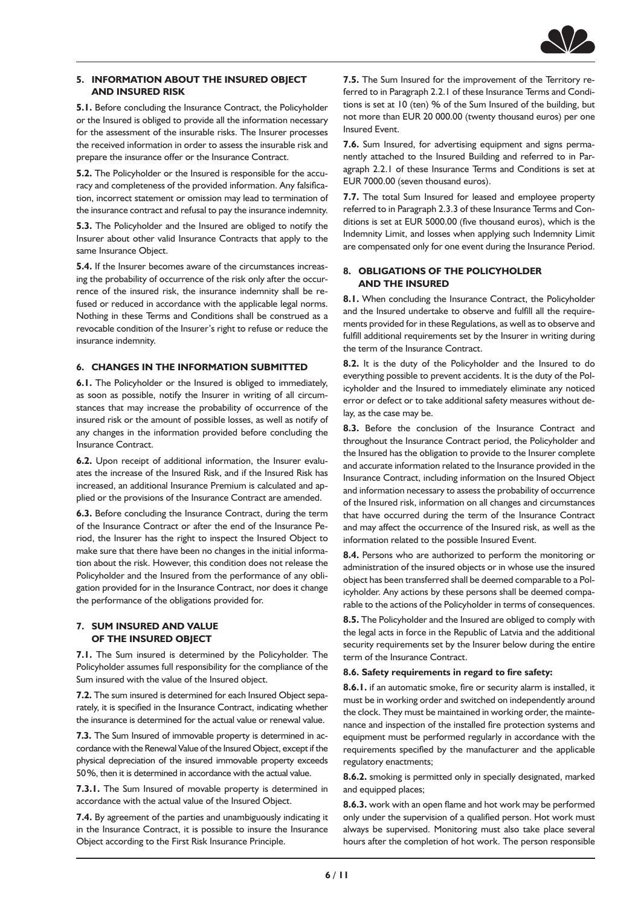

## **5. INFORMATION ABOUT THE INSURED OBJECT AND INSURED RISK**

**5.1.** Before concluding the Insurance Contract, the Policyholder or the Insured is obliged to provide all the information necessary for the assessment of the insurable risks. The Insurer processes the received information in order to assess the insurable risk and prepare the insurance offer or the Insurance Contract.

**5.2.** The Policyholder or the Insured is responsible for the accuracy and completeness of the provided information. Any falsification, incorrect statement or omission may lead to termination of the insurance contract and refusal to pay the insurance indemnity.

**5.3.** The Policyholder and the Insured are obliged to notify the Insurer about other valid Insurance Contracts that apply to the same Insurance Object.

**5.4.** If the Insurer becomes aware of the circumstances increasing the probability of occurrence of the risk only after the occurrence of the insured risk, the insurance indemnity shall be refused or reduced in accordance with the applicable legal norms. Nothing in these Terms and Conditions shall be construed as a revocable condition of the Insurer's right to refuse or reduce the insurance indemnity.

## **6. CHANGES IN THE INFORMATION SUBMITTED**

**6.1.** The Policyholder or the Insured is obliged to immediately, as soon as possible, notify the Insurer in writing of all circumstances that may increase the probability of occurrence of the insured risk or the amount of possible losses, as well as notify of any changes in the information provided before concluding the Insurance Contract.

**6.2.** Upon receipt of additional information, the Insurer evaluates the increase of the Insured Risk, and if the Insured Risk has increased, an additional Insurance Premium is calculated and applied or the provisions of the Insurance Contract are amended.

**6.3.** Before concluding the Insurance Contract, during the term of the Insurance Contract or after the end of the Insurance Period, the Insurer has the right to inspect the Insured Object to make sure that there have been no changes in the initial information about the risk. However, this condition does not release the Policyholder and the Insured from the performance of any obligation provided for in the Insurance Contract, nor does it change the performance of the obligations provided for.

#### **7. SUM INSURED AND VALUE OF THE INSURED OBJECT**

**7.1.** The Sum insured is determined by the Policyholder. The Policyholder assumes full responsibility for the compliance of the Sum insured with the value of the Insured object.

**7.2.** The sum insured is determined for each Insured Object separately, it is specified in the Insurance Contract, indicating whether the insurance is determined for the actual value or renewal value.

**7.3.** The Sum Insured of immovable property is determined in accordance with the Renewal Value of the Insured Object, except if the physical depreciation of the insured immovable property exceeds 50%, then it is determined in accordance with the actual value.

**7.3.1.** The Sum Insured of movable property is determined in accordance with the actual value of the Insured Object.

**7.4.** By agreement of the parties and unambiguously indicating it in the Insurance Contract, it is possible to insure the Insurance Object according to the First Risk Insurance Principle.

**7.5.** The Sum Insured for the improvement of the Territory referred to in Paragraph 2.2.1 of these Insurance Terms and Conditions is set at 10 (ten) % of the Sum Insured of the building, but not more than EUR 20 000.00 (twenty thousand euros) per one Insured Event.

**7.6.** Sum Insured, for advertising equipment and signs permanently attached to the Insured Building and referred to in Paragraph 2.2.1 of these Insurance Terms and Conditions is set at EUR 7000.00 (seven thousand euros).

**7.7.** The total Sum Insured for leased and employee property referred to in Paragraph 2.3.3 of these Insurance Terms and Conditions is set at EUR 5000.00 (five thousand euros), which is the Indemnity Limit, and losses when applying such Indemnity Limit are compensated only for one event during the Insurance Period.

## **8. OBLIGATIONS OF THE POLICYHOLDER AND THE INSURED**

**8.1.** When concluding the Insurance Contract, the Policyholder and the Insured undertake to observe and fulfill all the requirements provided for in these Regulations, as well as to observe and fulfill additional requirements set by the Insurer in writing during the term of the Insurance Contract.

**8.2.** It is the duty of the Policyholder and the Insured to do everything possible to prevent accidents. It is the duty of the Policyholder and the Insured to immediately eliminate any noticed error or defect or to take additional safety measures without delay, as the case may be.

**8.3.** Before the conclusion of the Insurance Contract and throughout the Insurance Contract period, the Policyholder and the Insured has the obligation to provide to the Insurer complete and accurate information related to the Insurance provided in the Insurance Contract, including information on the Insured Object and information necessary to assess the probability of occurrence of the Insured risk, information on all changes and circumstances that have occurred during the term of the Insurance Contract and may affect the occurrence of the Insured risk, as well as the information related to the possible Insured Event.

**8.4.** Persons who are authorized to perform the monitoring or administration of the insured objects or in whose use the insured object has been transferred shall be deemed comparable to a Policyholder. Any actions by these persons shall be deemed comparable to the actions of the Policyholder in terms of consequences.

**8.5.** The Policyholder and the Insured are obliged to comply with the legal acts in force in the Republic of Latvia and the additional security requirements set by the Insurer below during the entire term of the Insurance Contract.

#### **8.6. Safety requirements in regard to fire safety:**

**8.6.1.** if an automatic smoke, fire or security alarm is installed, it must be in working order and switched on independently around the clock. They must be maintained in working order, the maintenance and inspection of the installed fire protection systems and equipment must be performed regularly in accordance with the requirements specified by the manufacturer and the applicable regulatory enactments;

**8.6.2.** smoking is permitted only in specially designated, marked and equipped places;

**8.6.3.** work with an open flame and hot work may be performed only under the supervision of a qualified person. Hot work must always be supervised. Monitoring must also take place several hours after the completion of hot work. The person responsible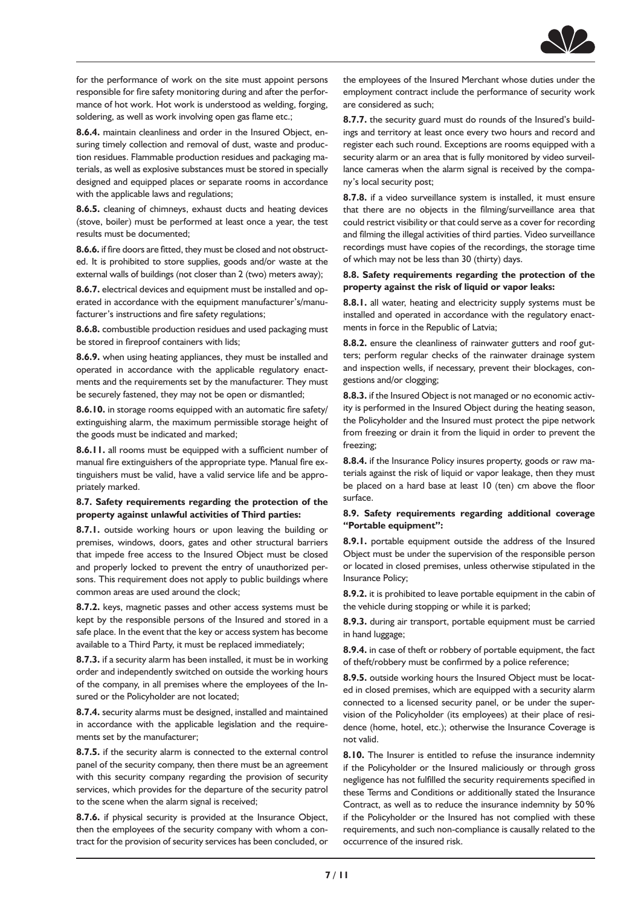

for the performance of work on the site must appoint persons responsible for fire safety monitoring during and after the performance of hot work. Hot work is understood as welding, forging, soldering, as well as work involving open gas flame etc.;

**8.6.4.** maintain cleanliness and order in the Insured Object, ensuring timely collection and removal of dust, waste and production residues. Flammable production residues and packaging materials, as well as explosive substances must be stored in specially designed and equipped places or separate rooms in accordance with the applicable laws and regulations;

**8.6.5.** cleaning of chimneys, exhaust ducts and heating devices (stove, boiler) must be performed at least once a year, the test results must be documented;

**8.6.6.** if fire doors are fitted, they must be closed and not obstructed. It is prohibited to store supplies, goods and/or waste at the external walls of buildings (not closer than 2 (two) meters away);

**8.6.7.** electrical devices and equipment must be installed and operated in accordance with the equipment manufacturer's/manufacturer's instructions and fire safety regulations;

**8.6.8.** combustible production residues and used packaging must be stored in fireproof containers with lids;

**8.6.9.** when using heating appliances, they must be installed and operated in accordance with the applicable regulatory enactments and the requirements set by the manufacturer. They must be securely fastened, they may not be open or dismantled;

**8.6.10.** in storage rooms equipped with an automatic fire safety/ extinguishing alarm, the maximum permissible storage height of the goods must be indicated and marked;

**8.6.11.** all rooms must be equipped with a sufficient number of manual fire extinguishers of the appropriate type. Manual fire extinguishers must be valid, have a valid service life and be appropriately marked.

## **8.7. Safety requirements regarding the protection of the property against unlawful activities of Third parties:**

**8.7.1.** outside working hours or upon leaving the building or premises, windows, doors, gates and other structural barriers that impede free access to the Insured Object must be closed and properly locked to prevent the entry of unauthorized persons. This requirement does not apply to public buildings where common areas are used around the clock;

**8.7.2.** keys, magnetic passes and other access systems must be kept by the responsible persons of the Insured and stored in a safe place. In the event that the key or access system has become available to a Third Party, it must be replaced immediately;

**8.7.3.** if a security alarm has been installed, it must be in working order and independently switched on outside the working hours of the company, in all premises where the employees of the Insured or the Policyholder are not located;

**8.7.4.** security alarms must be designed, installed and maintained in accordance with the applicable legislation and the requirements set by the manufacturer;

**8.7.5.** if the security alarm is connected to the external control panel of the security company, then there must be an agreement with this security company regarding the provision of security services, which provides for the departure of the security patrol to the scene when the alarm signal is received;

**8.7.6.** if physical security is provided at the Insurance Object, then the employees of the security company with whom a contract for the provision of security services has been concluded, or

the employees of the Insured Merchant whose duties under the employment contract include the performance of security work are considered as such;

**8.7.7.** the security guard must do rounds of the Insured's buildings and territory at least once every two hours and record and register each such round. Exceptions are rooms equipped with a security alarm or an area that is fully monitored by video surveillance cameras when the alarm signal is received by the company's local security post;

**8.7.8.** if a video surveillance system is installed, it must ensure that there are no objects in the filming/surveillance area that could restrict visibility or that could serve as a cover for recording and filming the illegal activities of third parties. Video surveillance recordings must have copies of the recordings, the storage time of which may not be less than 30 (thirty) days.

#### **8.8. Safety requirements regarding the protection of the property against the risk of liquid or vapor leaks:**

**8.8.1.** all water, heating and electricity supply systems must be installed and operated in accordance with the regulatory enactments in force in the Republic of Latvia;

**8.8.2.** ensure the cleanliness of rainwater gutters and roof gutters; perform regular checks of the rainwater drainage system and inspection wells, if necessary, prevent their blockages, congestions and/or clogging;

**8.8.3.** if the Insured Object is not managed or no economic activity is performed in the Insured Object during the heating season, the Policyholder and the Insured must protect the pipe network from freezing or drain it from the liquid in order to prevent the freezing;

**8.8.4.** if the Insurance Policy insures property, goods or raw materials against the risk of liquid or vapor leakage, then they must be placed on a hard base at least 10 (ten) cm above the floor surface.

## **8.9. Safety requirements regarding additional coverage "Portable equipment":**

**8.9.1.** portable equipment outside the address of the Insured Object must be under the supervision of the responsible person or located in closed premises, unless otherwise stipulated in the Insurance Policy;

**8.9.2.** it is prohibited to leave portable equipment in the cabin of the vehicle during stopping or while it is parked;

**8.9.3.** during air transport, portable equipment must be carried in hand luggage;

**8.9.4.** in case of theft or robbery of portable equipment, the fact of theft/robbery must be confirmed by a police reference;

**8.9.5.** outside working hours the Insured Object must be located in closed premises, which are equipped with a security alarm connected to a licensed security panel, or be under the supervision of the Policyholder (its employees) at their place of residence (home, hotel, etc.); otherwise the Insurance Coverage is not valid.

**8.10.** The Insurer is entitled to refuse the insurance indemnity if the Policyholder or the Insured maliciously or through gross negligence has not fulfilled the security requirements specified in these Terms and Conditions or additionally stated the Insurance Contract, as well as to reduce the insurance indemnity by 50% if the Policyholder or the Insured has not complied with these requirements, and such non-compliance is causally related to the occurrence of the insured risk.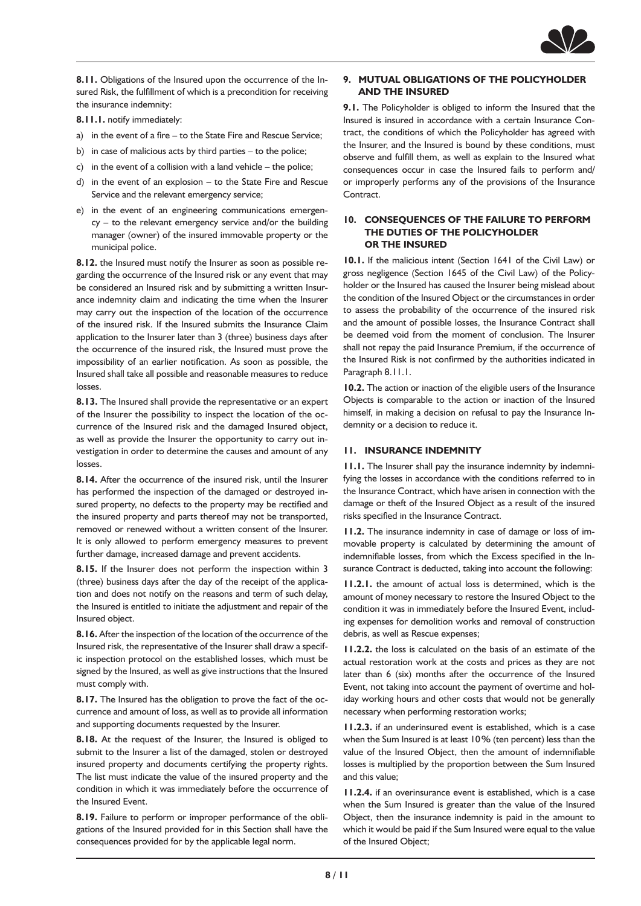

**8.11.** Obligations of the Insured upon the occurrence of the Insured Risk, the fulfillment of which is a precondition for receiving the insurance indemnity:

**8.11.1.** notify immediately:

- a) in the event of a fire to the State Fire and Rescue Service;
- b) in case of malicious acts by third parties to the police;
- c) in the event of a collision with a land vehicle the police;
- d) in the event of an explosion to the State Fire and Rescue Service and the relevant emergency service;
- e) in the event of an engineering communications emergency – to the relevant emergency service and/or the building manager (owner) of the insured immovable property or the municipal police.

**8.12.** the Insured must notify the Insurer as soon as possible regarding the occurrence of the Insured risk or any event that may be considered an Insured risk and by submitting a written Insurance indemnity claim and indicating the time when the Insurer may carry out the inspection of the location of the occurrence of the insured risk. If the Insured submits the Insurance Claim application to the Insurer later than 3 (three) business days after the occurrence of the insured risk, the Insured must prove the impossibility of an earlier notification. As soon as possible, the Insured shall take all possible and reasonable measures to reduce losses.

**8.13.** The Insured shall provide the representative or an expert of the Insurer the possibility to inspect the location of the occurrence of the Insured risk and the damaged Insured object, as well as provide the Insurer the opportunity to carry out investigation in order to determine the causes and amount of any losses.

**8.14.** After the occurrence of the insured risk, until the Insurer has performed the inspection of the damaged or destroyed insured property, no defects to the property may be rectified and the insured property and parts thereof may not be transported, removed or renewed without a written consent of the Insurer. It is only allowed to perform emergency measures to prevent further damage, increased damage and prevent accidents.

**8.15.** If the Insurer does not perform the inspection within 3 (three) business days after the day of the receipt of the application and does not notify on the reasons and term of such delay, the Insured is entitled to initiate the adjustment and repair of the Insured object.

**8.16.** After the inspection of the location of the occurrence of the Insured risk, the representative of the Insurer shall draw a specific inspection protocol on the established losses, which must be signed by the Insured, as well as give instructions that the Insured must comply with.

**8.17.** The Insured has the obligation to prove the fact of the occurrence and amount of loss, as well as to provide all information and supporting documents requested by the Insurer.

**8.18.** At the request of the Insurer, the Insured is obliged to submit to the Insurer a list of the damaged, stolen or destroyed insured property and documents certifying the property rights. The list must indicate the value of the insured property and the condition in which it was immediately before the occurrence of the Insured Event.

**8.19.** Failure to perform or improper performance of the obligations of the Insured provided for in this Section shall have the consequences provided for by the applicable legal norm.

# **9. MUTUAL OBLIGATIONS OF THE POLICYHOLDER AND THE INSURED**

**9.1.** The Policyholder is obliged to inform the Insured that the Insured is insured in accordance with a certain Insurance Contract, the conditions of which the Policyholder has agreed with the Insurer, and the Insured is bound by these conditions, must observe and fulfill them, as well as explain to the Insured what consequences occur in case the Insured fails to perform and/ or improperly performs any of the provisions of the Insurance Contract.

#### **10. CONSEQUENCES OF THE FAILURE TO PERFORM THE DUTIES OF THE POLICYHOLDER OR THE INSURED**

**10.1.** If the malicious intent (Section 1641 of the Civil Law) or gross negligence (Section 1645 of the Civil Law) of the Policyholder or the Insured has caused the Insurer being mislead about the condition of the Insured Object or the circumstances in order to assess the probability of the occurrence of the insured risk and the amount of possible losses, the Insurance Contract shall be deemed void from the moment of conclusion. The Insurer shall not repay the paid Insurance Premium, if the occurrence of the Insured Risk is not confirmed by the authorities indicated in Paragraph 8.11.1.

**10.2.** The action or inaction of the eligible users of the Insurance Objects is comparable to the action or inaction of the Insured himself, in making a decision on refusal to pay the Insurance Indemnity or a decision to reduce it.

#### **11. INSURANCE INDEMNITY**

**11.1.** The Insurer shall pay the insurance indemnity by indemnifying the losses in accordance with the conditions referred to in the Insurance Contract, which have arisen in connection with the damage or theft of the Insured Object as a result of the insured risks specified in the Insurance Contract.

**11.2.** The insurance indemnity in case of damage or loss of immovable property is calculated by determining the amount of indemnifiable losses, from which the Excess specified in the Insurance Contract is deducted, taking into account the following:

**11.2.1.** the amount of actual loss is determined, which is the amount of money necessary to restore the Insured Object to the condition it was in immediately before the Insured Event, including expenses for demolition works and removal of construction debris, as well as Rescue expenses;

**11.2.2.** the loss is calculated on the basis of an estimate of the actual restoration work at the costs and prices as they are not later than 6 (six) months after the occurrence of the Insured Event, not taking into account the payment of overtime and holiday working hours and other costs that would not be generally necessary when performing restoration works;

**11.2.3.** if an underinsured event is established, which is a case when the Sum Insured is at least 10% (ten percent) less than the value of the Insured Object, then the amount of indemnifiable losses is multiplied by the proportion between the Sum Insured and this value;

**11.2.4.** if an overinsurance event is established, which is a case when the Sum Insured is greater than the value of the Insured Object, then the insurance indemnity is paid in the amount to which it would be paid if the Sum Insured were equal to the value of the Insured Object;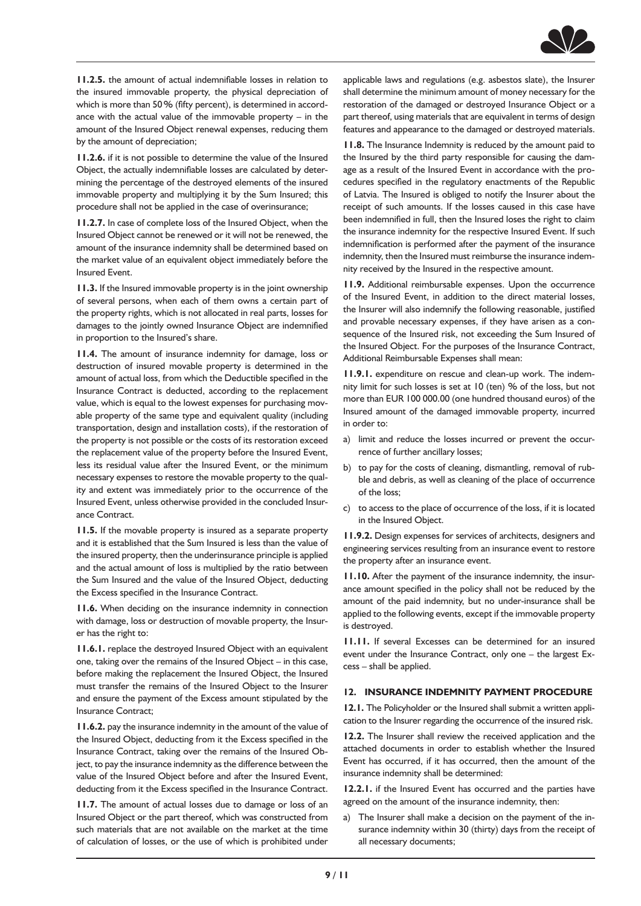

**11.2.5.** the amount of actual indemnifiable losses in relation to the insured immovable property, the physical depreciation of which is more than 50% (fifty percent), is determined in accordance with the actual value of the immovable property – in the amount of the Insured Object renewal expenses, reducing them by the amount of depreciation;

**11.2.6.** if it is not possible to determine the value of the Insured Object, the actually indemnifiable losses are calculated by determining the percentage of the destroyed elements of the insured immovable property and multiplying it by the Sum Insured; this procedure shall not be applied in the case of overinsurance;

**11.2.7.** In case of complete loss of the Insured Object, when the Insured Object cannot be renewed or it will not be renewed, the amount of the insurance indemnity shall be determined based on the market value of an equivalent object immediately before the Insured Event.

**11.3.** If the Insured immovable property is in the joint ownership of several persons, when each of them owns a certain part of the property rights, which is not allocated in real parts, losses for damages to the jointly owned Insurance Object are indemnified in proportion to the Insured's share.

**11.4.** The amount of insurance indemnity for damage, loss or destruction of insured movable property is determined in the amount of actual loss, from which the Deductible specified in the Insurance Contract is deducted, according to the replacement value, which is equal to the lowest expenses for purchasing movable property of the same type and equivalent quality (including transportation, design and installation costs), if the restoration of the property is not possible or the costs of its restoration exceed the replacement value of the property before the Insured Event, less its residual value after the Insured Event, or the minimum necessary expenses to restore the movable property to the quality and extent was immediately prior to the occurrence of the Insured Event, unless otherwise provided in the concluded Insurance Contract.

**11.5.** If the movable property is insured as a separate property and it is established that the Sum Insured is less than the value of the insured property, then the underinsurance principle is applied and the actual amount of loss is multiplied by the ratio between the Sum Insured and the value of the Insured Object, deducting the Excess specified in the Insurance Contract.

**11.6.** When deciding on the insurance indemnity in connection with damage, loss or destruction of movable property, the Insurer has the right to:

**11.6.1.** replace the destroyed Insured Object with an equivalent one, taking over the remains of the Insured Object – in this case, before making the replacement the Insured Object, the Insured must transfer the remains of the Insured Object to the Insurer and ensure the payment of the Excess amount stipulated by the Insurance Contract;

**11.6.2.** pay the insurance indemnity in the amount of the value of the Insured Object, deducting from it the Excess specified in the Insurance Contract, taking over the remains of the Insured Object, to pay the insurance indemnity as the difference between the value of the Insured Object before and after the Insured Event, deducting from it the Excess specified in the Insurance Contract.

**11.7.** The amount of actual losses due to damage or loss of an Insured Object or the part thereof, which was constructed from such materials that are not available on the market at the time of calculation of losses, or the use of which is prohibited under applicable laws and regulations (e.g. asbestos slate), the Insurer shall determine the minimum amount of money necessary for the restoration of the damaged or destroyed Insurance Object or a part thereof, using materials that are equivalent in terms of design features and appearance to the damaged or destroyed materials.

**11.8.** The Insurance Indemnity is reduced by the amount paid to the Insured by the third party responsible for causing the damage as a result of the Insured Event in accordance with the procedures specified in the regulatory enactments of the Republic of Latvia. The Insured is obliged to notify the Insurer about the receipt of such amounts. If the losses caused in this case have been indemnified in full, then the Insured loses the right to claim the insurance indemnity for the respective Insured Event. If such indemnification is performed after the payment of the insurance indemnity, then the Insured must reimburse the insurance indemnity received by the Insured in the respective amount.

**11.9.** Additional reimbursable expenses. Upon the occurrence of the Insured Event, in addition to the direct material losses, the Insurer will also indemnify the following reasonable, justified and provable necessary expenses, if they have arisen as a consequence of the Insured risk, not exceeding the Sum Insured of the Insured Object. For the purposes of the Insurance Contract, Additional Reimbursable Expenses shall mean:

**11.9.1.** expenditure on rescue and clean-up work. The indemnity limit for such losses is set at 10 (ten) % of the loss, but not more than EUR 100 000.00 (one hundred thousand euros) of the Insured amount of the damaged immovable property, incurred in order to:

- a) limit and reduce the losses incurred or prevent the occurrence of further ancillary losses;
- b) to pay for the costs of cleaning, dismantling, removal of rubble and debris, as well as cleaning of the place of occurrence of the loss;
- c) to access to the place of occurrence of the loss, if it is located in the Insured Object.

**11.9.2.** Design expenses for services of architects, designers and engineering services resulting from an insurance event to restore the property after an insurance event.

**11.10.** After the payment of the insurance indemnity, the insurance amount specified in the policy shall not be reduced by the amount of the paid indemnity, but no under-insurance shall be applied to the following events, except if the immovable property is destroyed.

**11.11.** If several Excesses can be determined for an insured event under the Insurance Contract, only one – the largest Excess – shall be applied.

## **12. INSURANCE INDEMNITY PAYMENT PROCEDURE**

**12.1.** The Policyholder or the Insured shall submit a written application to the Insurer regarding the occurrence of the insured risk.

**12.2.** The Insurer shall review the received application and the attached documents in order to establish whether the Insured Event has occurred, if it has occurred, then the amount of the insurance indemnity shall be determined:

**12.2.1.** if the Insured Event has occurred and the parties have agreed on the amount of the insurance indemnity, then:

a) The Insurer shall make a decision on the payment of the insurance indemnity within 30 (thirty) days from the receipt of all necessary documents;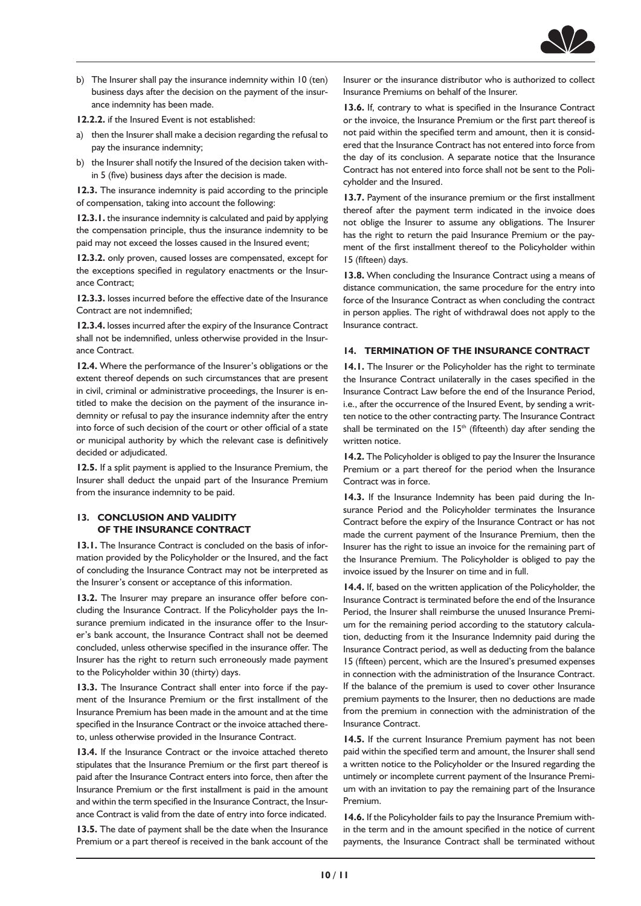

b) The Insurer shall pay the insurance indemnity within 10 (ten) business days after the decision on the payment of the insurance indemnity has been made.

**12.2.2.** if the Insured Event is not established:

- a) then the Insurer shall make a decision regarding the refusal to pay the insurance indemnity;
- b) the Insurer shall notify the Insured of the decision taken within 5 (five) business days after the decision is made.

**12.3.** The insurance indemnity is paid according to the principle of compensation, taking into account the following:

**12.3.1.** the insurance indemnity is calculated and paid by applying the compensation principle, thus the insurance indemnity to be paid may not exceed the losses caused in the Insured event;

**12.3.2.** only proven, caused losses are compensated, except for the exceptions specified in regulatory enactments or the Insurance Contract;

**12.3.3.** losses incurred before the effective date of the Insurance Contract are not indemnified;

**12.3.4.** losses incurred after the expiry of the Insurance Contract shall not be indemnified, unless otherwise provided in the Insurance Contract.

**12.4.** Where the performance of the Insurer's obligations or the extent thereof depends on such circumstances that are present in civil, criminal or administrative proceedings, the Insurer is entitled to make the decision on the payment of the insurance indemnity or refusal to pay the insurance indemnity after the entry into force of such decision of the court or other official of a state or municipal authority by which the relevant case is definitively decided or adjudicated.

**12.5.** If a split payment is applied to the Insurance Premium, the Insurer shall deduct the unpaid part of the Insurance Premium from the insurance indemnity to be paid.

#### **13. CONCLUSION AND VALIDITY OF THE INSURANCE CONTRACT**

**13.1.** The Insurance Contract is concluded on the basis of information provided by the Policyholder or the Insured, and the fact of concluding the Insurance Contract may not be interpreted as the Insurer's consent or acceptance of this information.

**13.2.** The Insurer may prepare an insurance offer before concluding the Insurance Contract. If the Policyholder pays the Insurance premium indicated in the insurance offer to the Insurer's bank account, the Insurance Contract shall not be deemed concluded, unless otherwise specified in the insurance offer. The Insurer has the right to return such erroneously made payment to the Policyholder within 30 (thirty) days.

**13.3.** The Insurance Contract shall enter into force if the payment of the Insurance Premium or the first installment of the Insurance Premium has been made in the amount and at the time specified in the Insurance Contract or the invoice attached thereto, unless otherwise provided in the Insurance Contract.

**13.4.** If the Insurance Contract or the invoice attached thereto stipulates that the Insurance Premium or the first part thereof is paid after the Insurance Contract enters into force, then after the Insurance Premium or the first installment is paid in the amount and within the term specified in the Insurance Contract, the Insurance Contract is valid from the date of entry into force indicated.

**13.5.** The date of payment shall be the date when the Insurance Premium or a part thereof is received in the bank account of the Insurer or the insurance distributor who is authorized to collect Insurance Premiums on behalf of the Insurer.

**13.6.** If, contrary to what is specified in the Insurance Contract or the invoice, the Insurance Premium or the first part thereof is not paid within the specified term and amount, then it is considered that the Insurance Contract has not entered into force from the day of its conclusion. A separate notice that the Insurance Contract has not entered into force shall not be sent to the Policyholder and the Insured.

**13.7.** Payment of the insurance premium or the first installment thereof after the payment term indicated in the invoice does not oblige the Insurer to assume any obligations. The Insurer has the right to return the paid Insurance Premium or the payment of the first installment thereof to the Policyholder within 15 (fifteen) days.

**13.8.** When concluding the Insurance Contract using a means of distance communication, the same procedure for the entry into force of the Insurance Contract as when concluding the contract in person applies. The right of withdrawal does not apply to the Insurance contract.

## **14. TERMINATION OF THE INSURANCE CONTRACT**

**14.1.** The Insurer or the Policyholder has the right to terminate the Insurance Contract unilaterally in the cases specified in the Insurance Contract Law before the end of the Insurance Period, i.e., after the occurrence of the Insured Event, by sending a written notice to the other contracting party. The Insurance Contract shall be terminated on the  $15<sup>th</sup>$  (fifteenth) day after sending the written notice.

14.2. The Policyholder is obliged to pay the Insurer the Insurance Premium or a part thereof for the period when the Insurance Contract was in force.

**14.3.** If the Insurance Indemnity has been paid during the Insurance Period and the Policyholder terminates the Insurance Contract before the expiry of the Insurance Contract or has not made the current payment of the Insurance Premium, then the Insurer has the right to issue an invoice for the remaining part of the Insurance Premium. The Policyholder is obliged to pay the invoice issued by the Insurer on time and in full.

**14.4.** If, based on the written application of the Policyholder, the Insurance Contract is terminated before the end of the Insurance Period, the Insurer shall reimburse the unused Insurance Premium for the remaining period according to the statutory calculation, deducting from it the Insurance Indemnity paid during the Insurance Contract period, as well as deducting from the balance 15 (fifteen) percent, which are the Insured's presumed expenses in connection with the administration of the Insurance Contract. If the balance of the premium is used to cover other Insurance premium payments to the Insurer, then no deductions are made from the premium in connection with the administration of the Insurance Contract.

**14.5.** If the current Insurance Premium payment has not been paid within the specified term and amount, the Insurer shall send a written notice to the Policyholder or the Insured regarding the untimely or incomplete current payment of the Insurance Premium with an invitation to pay the remaining part of the Insurance Premium.

**14.6.** If the Policyholder fails to pay the Insurance Premium within the term and in the amount specified in the notice of current payments, the Insurance Contract shall be terminated without